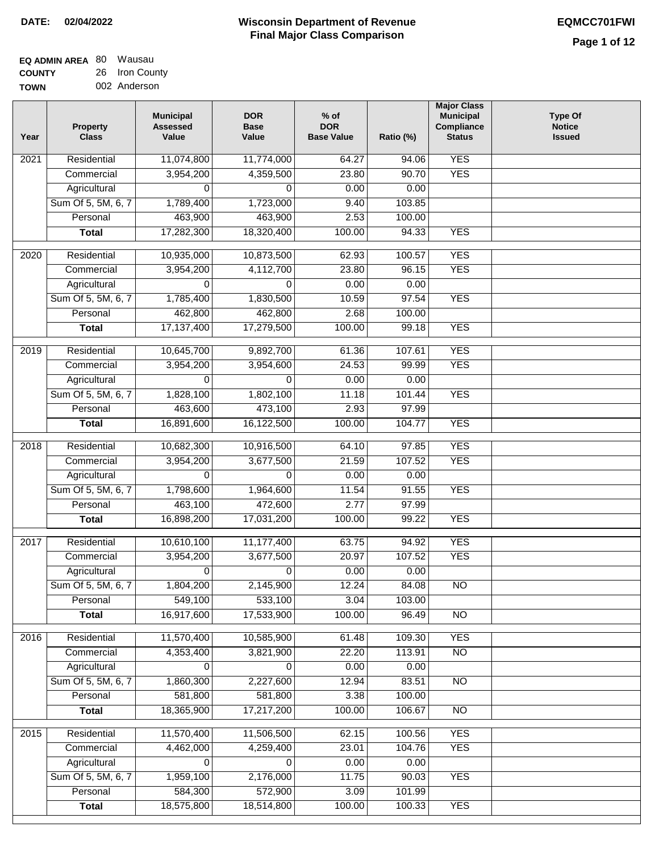| <b>EQ ADMIN AREA 80 Wausau</b> |                |
|--------------------------------|----------------|
| <b>COUNTY</b>                  | 26 Iron County |
| <b>TOWN</b>                    | 002 Anderson   |

| Year              | <b>Property</b><br><b>Class</b> | <b>Municipal</b><br><b>Assessed</b><br>Value | <b>DOR</b><br><b>Base</b><br>Value | $%$ of<br><b>DOR</b><br><b>Base Value</b> | Ratio (%) | <b>Major Class</b><br><b>Municipal</b><br>Compliance<br><b>Status</b> | <b>Type Of</b><br><b>Notice</b><br><b>Issued</b> |
|-------------------|---------------------------------|----------------------------------------------|------------------------------------|-------------------------------------------|-----------|-----------------------------------------------------------------------|--------------------------------------------------|
| $\overline{202}1$ | Residential                     | 11,074,800                                   | 11,774,000                         | 64.27                                     | 94.06     | <b>YES</b>                                                            |                                                  |
|                   | Commercial                      | 3,954,200                                    | 4,359,500                          | 23.80                                     | 90.70     | <b>YES</b>                                                            |                                                  |
|                   | Agricultural                    | 0                                            | 0                                  | 0.00                                      | 0.00      |                                                                       |                                                  |
|                   | Sum Of 5, 5M, 6, 7              | 1,789,400                                    | 1,723,000                          | 9.40                                      | 103.85    |                                                                       |                                                  |
|                   | Personal                        | 463,900                                      | 463,900                            | 2.53                                      | 100.00    |                                                                       |                                                  |
|                   | <b>Total</b>                    | 17,282,300                                   | 18,320,400                         | 100.00                                    | 94.33     | <b>YES</b>                                                            |                                                  |
| $\overline{2020}$ | Residential                     | 10,935,000                                   | 10,873,500                         | 62.93                                     | 100.57    | <b>YES</b>                                                            |                                                  |
|                   | Commercial                      | 3,954,200                                    | 4,112,700                          | 23.80                                     | 96.15     | <b>YES</b>                                                            |                                                  |
|                   | Agricultural                    | 0                                            | 0                                  | 0.00                                      | 0.00      |                                                                       |                                                  |
|                   | Sum Of 5, 5M, 6, 7              | 1,785,400                                    | 1,830,500                          | 10.59                                     | 97.54     | <b>YES</b>                                                            |                                                  |
|                   | Personal                        | 462,800                                      | 462,800                            | 2.68                                      | 100.00    |                                                                       |                                                  |
|                   | <b>Total</b>                    | 17,137,400                                   | 17,279,500                         | 100.00                                    | 99.18     | <b>YES</b>                                                            |                                                  |
| 2019              | Residential                     | 10,645,700                                   | 9,892,700                          | 61.36                                     | 107.61    | <b>YES</b>                                                            |                                                  |
|                   | Commercial                      | 3,954,200                                    | 3,954,600                          | 24.53                                     | 99.99     | <b>YES</b>                                                            |                                                  |
|                   | Agricultural                    | 0                                            | 0                                  | 0.00                                      | 0.00      |                                                                       |                                                  |
|                   | Sum Of 5, 5M, 6, 7              | 1,828,100                                    | 1,802,100                          | 11.18                                     | 101.44    | <b>YES</b>                                                            |                                                  |
|                   | Personal                        | 463,600                                      | 473,100                            | 2.93                                      | 97.99     |                                                                       |                                                  |
|                   | <b>Total</b>                    | 16,891,600                                   | 16,122,500                         | 100.00                                    | 104.77    | <b>YES</b>                                                            |                                                  |
|                   |                                 |                                              |                                    |                                           |           |                                                                       |                                                  |
| 2018              | Residential                     | 10,682,300                                   | 10,916,500                         | 64.10                                     | 97.85     | <b>YES</b>                                                            |                                                  |
|                   | Commercial                      | 3,954,200                                    | 3,677,500                          | 21.59                                     | 107.52    | <b>YES</b>                                                            |                                                  |
|                   | Agricultural                    | 0                                            | 0                                  | 0.00                                      | 0.00      |                                                                       |                                                  |
|                   | Sum Of 5, 5M, 6, 7              | 1,798,600                                    | 1,964,600                          | 11.54                                     | 91.55     | <b>YES</b>                                                            |                                                  |
|                   | Personal                        | 463,100                                      | 472,600                            | 2.77                                      | 97.99     |                                                                       |                                                  |
|                   | <b>Total</b>                    | 16,898,200                                   | 17,031,200                         | 100.00                                    | 99.22     | <b>YES</b>                                                            |                                                  |
| 2017              | Residential                     | 10,610,100                                   | 11,177,400                         | 63.75                                     | 94.92     | <b>YES</b>                                                            |                                                  |
|                   | Commercial                      | 3,954,200                                    | 3,677,500                          | 20.97                                     | 107.52    | <b>YES</b>                                                            |                                                  |
|                   | Agricultural                    | 0                                            | 0                                  | 0.00                                      | 0.00      |                                                                       |                                                  |
|                   | Sum Of 5, 5M, 6, 7              | 1,804,200                                    | 2,145,900                          | 12.24                                     | 84.08     | <b>NO</b>                                                             |                                                  |
|                   | Personal                        | 549,100                                      | 533,100                            | 3.04                                      | 103.00    |                                                                       |                                                  |
|                   | <b>Total</b>                    | 16,917,600                                   | 17,533,900                         | 100.00                                    | 96.49     | <b>NO</b>                                                             |                                                  |
| 2016              | Residential                     | 11,570,400                                   | 10,585,900                         | 61.48                                     | 109.30    | <b>YES</b>                                                            |                                                  |
|                   | Commercial                      | 4,353,400                                    | 3,821,900                          | 22.20                                     | 113.91    | N <sub>O</sub>                                                        |                                                  |
|                   | Agricultural                    | 0                                            | 0                                  | 0.00                                      | 0.00      |                                                                       |                                                  |
|                   | Sum Of 5, 5M, 6, 7              | 1,860,300                                    | 2,227,600                          | 12.94                                     | 83.51     | $\overline{NO}$                                                       |                                                  |
|                   | Personal                        | 581,800                                      | 581,800                            | 3.38                                      | 100.00    |                                                                       |                                                  |
|                   | <b>Total</b>                    | 18,365,900                                   | 17,217,200                         | 100.00                                    | 106.67    | $\overline{NO}$                                                       |                                                  |
| 2015              | Residential                     | 11,570,400                                   | 11,506,500                         | 62.15                                     | 100.56    | <b>YES</b>                                                            |                                                  |
|                   | Commercial                      | 4,462,000                                    | 4,259,400                          | 23.01                                     | 104.76    | <b>YES</b>                                                            |                                                  |
|                   | Agricultural                    | 0                                            | 0                                  | 0.00                                      | 0.00      |                                                                       |                                                  |
|                   | Sum Of 5, 5M, 6, 7              | 1,959,100                                    | 2,176,000                          | 11.75                                     | 90.03     | <b>YES</b>                                                            |                                                  |
|                   | Personal                        | 584,300                                      | 572,900                            | 3.09                                      | 101.99    |                                                                       |                                                  |
|                   | <b>Total</b>                    | 18,575,800                                   | 18,514,800                         | 100.00                                    | 100.33    | <b>YES</b>                                                            |                                                  |
|                   |                                 |                                              |                                    |                                           |           |                                                                       |                                                  |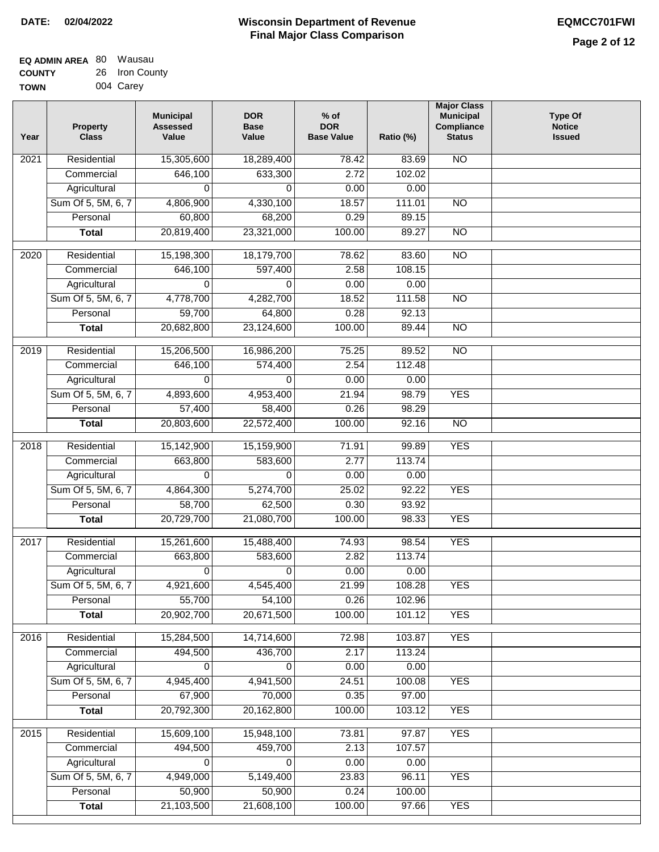| <b>EQ ADMIN AREA 80 Wausau</b> |                |
|--------------------------------|----------------|
| <b>COUNTY</b>                  | 26 Iron County |
| <b>TOWN</b>                    | 004 Carey      |

| Year | <b>Property</b><br><b>Class</b>    | <b>Municipal</b><br><b>Assessed</b><br>Value | <b>DOR</b><br><b>Base</b><br>Value | $%$ of<br><b>DOR</b><br><b>Base Value</b> | Ratio (%)      | <b>Major Class</b><br><b>Municipal</b><br>Compliance<br><b>Status</b> | <b>Type Of</b><br><b>Notice</b><br><b>Issued</b> |
|------|------------------------------------|----------------------------------------------|------------------------------------|-------------------------------------------|----------------|-----------------------------------------------------------------------|--------------------------------------------------|
| 2021 | Residential                        | 15,305,600                                   | 18,289,400                         | 78.42                                     | 83.69          | N <sub>O</sub>                                                        |                                                  |
|      | Commercial                         | 646,100                                      | 633,300                            | 2.72                                      | 102.02         |                                                                       |                                                  |
|      | Agricultural                       | 0                                            | $\Omega$                           | 0.00                                      | 0.00           |                                                                       |                                                  |
|      | Sum Of 5, 5M, 6, 7                 | 4,806,900                                    | 4,330,100                          | 18.57                                     | 111.01         | $\overline{NO}$                                                       |                                                  |
|      | Personal                           | 60,800                                       | 68,200                             | 0.29                                      | 89.15          |                                                                       |                                                  |
|      | <b>Total</b>                       | 20,819,400                                   | 23,321,000                         | 100.00                                    | 89.27          | $\overline{NO}$                                                       |                                                  |
| 2020 | Residential                        | 15,198,300                                   | 18,179,700                         | 78.62                                     | 83.60          | $\overline{NO}$                                                       |                                                  |
|      | Commercial                         | 646,100                                      | 597,400                            | 2.58                                      | 108.15         |                                                                       |                                                  |
|      | Agricultural                       | 0                                            | 0                                  | 0.00                                      | 0.00           |                                                                       |                                                  |
|      | Sum Of 5, 5M, 6, 7                 | 4,778,700                                    | 4,282,700                          | 18.52                                     | 111.58         | <b>NO</b>                                                             |                                                  |
|      | Personal                           | 59,700                                       | 64,800                             | 0.28                                      | 92.13          |                                                                       |                                                  |
|      | <b>Total</b>                       | 20,682,800                                   | 23,124,600                         | 100.00                                    | 89.44          | <b>NO</b>                                                             |                                                  |
|      |                                    |                                              |                                    |                                           |                |                                                                       |                                                  |
| 2019 | Residential                        | 15,206,500                                   | 16,986,200                         | 75.25                                     | 89.52          | $\overline{NO}$                                                       |                                                  |
|      | Commercial                         | 646,100                                      | 574,400                            | 2.54                                      | 112.48         |                                                                       |                                                  |
|      | Agricultural                       | 0                                            | $\Omega$                           | 0.00                                      | 0.00           |                                                                       |                                                  |
|      | Sum Of 5, 5M, 6, 7                 | 4,893,600                                    | 4,953,400                          | 21.94                                     | 98.79          | <b>YES</b>                                                            |                                                  |
|      | Personal                           | 57,400                                       | 58,400                             | 0.26                                      | 98.29          |                                                                       |                                                  |
|      | <b>Total</b>                       | 20,803,600                                   | 22,572,400                         | 100.00                                    | 92.16          | $\overline{NO}$                                                       |                                                  |
| 2018 | Residential                        | 15,142,900                                   | 15,159,900                         | 71.91                                     | 99.89          | <b>YES</b>                                                            |                                                  |
|      | Commercial                         | 663,800                                      | 583,600                            | 2.77                                      | 113.74         |                                                                       |                                                  |
|      | Agricultural                       | 0                                            | 0                                  | 0.00                                      | 0.00           |                                                                       |                                                  |
|      | Sum Of 5, 5M, 6, 7                 | 4,864,300                                    | 5,274,700                          | 25.02                                     | 92.22          | <b>YES</b>                                                            |                                                  |
|      | Personal                           | 58,700                                       | 62,500                             | 0.30                                      | 93.92          |                                                                       |                                                  |
|      | <b>Total</b>                       | 20,729,700                                   | 21,080,700                         | 100.00                                    | 98.33          | <b>YES</b>                                                            |                                                  |
| 2017 | Residential                        | 15,261,600                                   | 15,488,400                         | 74.93                                     | 98.54          | <b>YES</b>                                                            |                                                  |
|      | Commercial                         | 663,800                                      | 583,600                            | 2.82                                      | 113.74         |                                                                       |                                                  |
|      | Agricultural                       | 0                                            | $\Omega$                           | 0.00                                      | 0.00           |                                                                       |                                                  |
|      | Sum Of 5, 5M, 6, 7                 | 4,921,600                                    | 4,545,400                          | 21.99                                     | 108.28         | <b>YES</b>                                                            |                                                  |
|      | Personal                           | 55,700                                       | 54,100                             | 0.26                                      | 102.96         |                                                                       |                                                  |
|      | <b>Total</b>                       | 20,902,700                                   | 20,671,500                         | 100.00                                    | 101.12         | <b>YES</b>                                                            |                                                  |
| 2016 | Residential                        | 15,284,500                                   | 14,714,600                         | 72.98                                     | 103.87         | <b>YES</b>                                                            |                                                  |
|      | Commercial                         | 494,500                                      | 436,700                            | 2.17                                      | 113.24         |                                                                       |                                                  |
|      | Agricultural                       | 0                                            | $\Omega$                           | 0.00                                      | 0.00           |                                                                       |                                                  |
|      | Sum Of 5, 5M, 6, 7                 | 4,945,400                                    | 4,941,500                          | 24.51                                     | 100.08         | <b>YES</b>                                                            |                                                  |
|      | Personal                           | 67,900                                       | 70,000                             | 0.35                                      | 97.00          |                                                                       |                                                  |
|      | <b>Total</b>                       | 20,792,300                                   | 20,162,800                         | 100.00                                    | 103.12         | <b>YES</b>                                                            |                                                  |
|      |                                    |                                              |                                    |                                           |                |                                                                       |                                                  |
| 2015 | Residential                        | 15,609,100                                   | 15,948,100                         | 73.81                                     | 97.87          | <b>YES</b>                                                            |                                                  |
|      | Commercial                         | 494,500                                      | 459,700<br>0                       | 2.13<br>0.00                              | 107.57<br>0.00 |                                                                       |                                                  |
|      | Agricultural<br>Sum Of 5, 5M, 6, 7 | 0<br>4,949,000                               |                                    | 23.83                                     | 96.11          | <b>YES</b>                                                            |                                                  |
|      | Personal                           | 50,900                                       | 5,149,400<br>50,900                | 0.24                                      | 100.00         |                                                                       |                                                  |
|      | <b>Total</b>                       | 21,103,500                                   | 21,608,100                         | 100.00                                    | 97.66          | <b>YES</b>                                                            |                                                  |
|      |                                    |                                              |                                    |                                           |                |                                                                       |                                                  |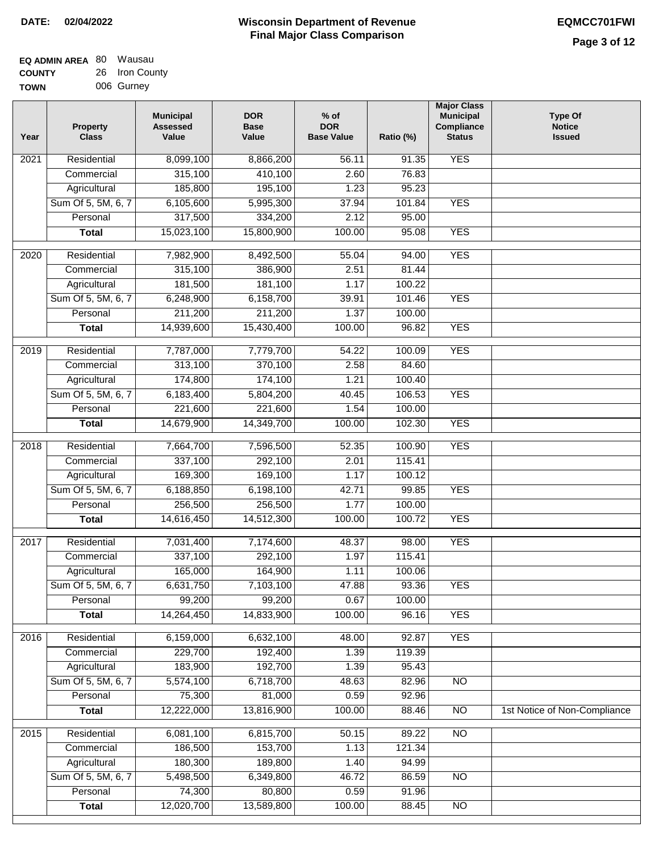| <b>EQ ADMIN AREA 80 Wausau</b> |                |
|--------------------------------|----------------|
| <b>COUNTY</b>                  | 26 Iron County |
| <b>TOWN</b>                    | 006 Gurney     |

| Year | <b>Property</b><br><b>Class</b>    | <b>Municipal</b><br><b>Assessed</b><br>Value | <b>DOR</b><br><b>Base</b><br>Value | $%$ of<br><b>DOR</b><br><b>Base Value</b> | Ratio (%)        | <b>Major Class</b><br><b>Municipal</b><br>Compliance<br><b>Status</b> | <b>Type Of</b><br><b>Notice</b><br><b>Issued</b> |
|------|------------------------------------|----------------------------------------------|------------------------------------|-------------------------------------------|------------------|-----------------------------------------------------------------------|--------------------------------------------------|
| 2021 | Residential                        | 8,099,100                                    | 8,866,200                          | 56.11                                     | 91.35            | <b>YES</b>                                                            |                                                  |
|      | Commercial                         | 315,100                                      | 410,100                            | 2.60                                      | 76.83            |                                                                       |                                                  |
|      | Agricultural                       | 185,800                                      | 195,100                            | 1.23                                      | 95.23            |                                                                       |                                                  |
|      | Sum Of 5, 5M, 6, 7                 | 6,105,600                                    | 5,995,300                          | 37.94                                     | 101.84           | <b>YES</b>                                                            |                                                  |
|      | Personal                           | 317,500                                      | 334,200                            | 2.12                                      | 95.00            |                                                                       |                                                  |
|      | <b>Total</b>                       | 15,023,100                                   | 15,800,900                         | 100.00                                    | 95.08            | <b>YES</b>                                                            |                                                  |
|      |                                    |                                              |                                    |                                           |                  |                                                                       |                                                  |
| 2020 | Residential                        | 7,982,900                                    | 8,492,500                          | 55.04                                     | 94.00            | <b>YES</b>                                                            |                                                  |
|      | Commercial                         | 315,100                                      | 386,900                            | 2.51                                      | 81.44            |                                                                       |                                                  |
|      | Agricultural<br>Sum Of 5, 5M, 6, 7 | 181,500<br>6,248,900                         | 181,100<br>6,158,700               | 1.17<br>39.91                             | 100.22<br>101.46 | <b>YES</b>                                                            |                                                  |
|      | Personal                           | 211,200                                      | 211,200                            | 1.37                                      | 100.00           |                                                                       |                                                  |
|      | <b>Total</b>                       | 14,939,600                                   | 15,430,400                         | 100.00                                    | 96.82            | <b>YES</b>                                                            |                                                  |
|      |                                    |                                              |                                    |                                           |                  |                                                                       |                                                  |
| 2019 | Residential                        | 7,787,000                                    | 7,779,700                          | 54.22                                     | 100.09           | <b>YES</b>                                                            |                                                  |
|      | Commercial                         | 313,100                                      | 370,100                            | 2.58                                      | 84.60            |                                                                       |                                                  |
|      | Agricultural                       | 174,800                                      | 174,100                            | 1.21                                      | 100.40           |                                                                       |                                                  |
|      | Sum Of 5, 5M, 6, 7                 | 6,183,400                                    | 5,804,200                          | 40.45                                     | 106.53           | <b>YES</b>                                                            |                                                  |
|      | Personal                           | 221,600                                      | 221,600                            | 1.54                                      | 100.00           |                                                                       |                                                  |
|      | <b>Total</b>                       | 14,679,900                                   | 14,349,700                         | 100.00                                    | 102.30           | <b>YES</b>                                                            |                                                  |
| 2018 | Residential                        | 7,664,700                                    | 7,596,500                          | 52.35                                     | 100.90           | <b>YES</b>                                                            |                                                  |
|      | Commercial                         | 337,100                                      | 292,100                            | 2.01                                      | 115.41           |                                                                       |                                                  |
|      | Agricultural                       | 169,300                                      | 169,100                            | 1.17                                      | 100.12           |                                                                       |                                                  |
|      | Sum Of 5, 5M, 6, 7                 | 6,188,850                                    | 6,198,100                          | 42.71                                     | 99.85            | <b>YES</b>                                                            |                                                  |
|      | Personal                           | 256,500                                      | 256,500                            | 1.77                                      | 100.00           |                                                                       |                                                  |
|      | <b>Total</b>                       | 14,616,450                                   | 14,512,300                         | 100.00                                    | 100.72           | <b>YES</b>                                                            |                                                  |
|      |                                    |                                              |                                    |                                           |                  |                                                                       |                                                  |
| 2017 | Residential                        | 7,031,400                                    | 7,174,600                          | 48.37                                     | 98.00            | <b>YES</b>                                                            |                                                  |
|      | Commercial                         | 337,100                                      | 292,100                            | 1.97                                      | 115.41           |                                                                       |                                                  |
|      | Agricultural                       | 165,000                                      | 164,900                            | 1.11                                      | 100.06           |                                                                       |                                                  |
|      | Sum Of 5, 5M, 6, 7                 | 6,631,750                                    | 7,103,100                          | 47.88                                     | 93.36            | <b>YES</b>                                                            |                                                  |
|      | Personal                           | 99,200                                       | 99,200                             | 0.67                                      | 100.00           |                                                                       |                                                  |
|      | <b>Total</b>                       | 14,264,450                                   | 14,833,900                         | 100.00                                    | 96.16            | <b>YES</b>                                                            |                                                  |
| 2016 | Residential                        | 6,159,000                                    | 6,632,100                          | 48.00                                     | 92.87            | <b>YES</b>                                                            |                                                  |
|      | Commercial                         | 229,700                                      | 192,400                            | 1.39                                      | 119.39           |                                                                       |                                                  |
|      | Agricultural                       | 183,900                                      | 192,700                            | 1.39                                      | 95.43            |                                                                       |                                                  |
|      | Sum Of 5, 5M, 6, 7                 | 5,574,100                                    | 6,718,700                          | 48.63                                     | 82.96            | $\overline{NO}$                                                       |                                                  |
|      | Personal                           | 75,300                                       | 81,000                             | 0.59                                      | 92.96            |                                                                       |                                                  |
|      | <b>Total</b>                       | 12,222,000                                   | 13,816,900                         | 100.00                                    | 88.46            | $\overline{NO}$                                                       | 1st Notice of Non-Compliance                     |
| 2015 | Residential                        | 6,081,100                                    | 6,815,700                          | 50.15                                     | 89.22            | N <sub>O</sub>                                                        |                                                  |
|      | Commercial                         | 186,500                                      | 153,700                            | 1.13                                      | 121.34           |                                                                       |                                                  |
|      | Agricultural                       | 180,300                                      | 189,800                            | 1.40                                      | 94.99            |                                                                       |                                                  |
|      | Sum Of 5, 5M, 6, 7                 | 5,498,500                                    | 6,349,800                          | 46.72                                     | 86.59            | <b>NO</b>                                                             |                                                  |
|      | Personal                           | 74,300                                       | 80,800                             | 0.59                                      | 91.96            |                                                                       |                                                  |
|      | <b>Total</b>                       | 12,020,700                                   | 13,589,800                         | 100.00                                    | 88.45            | NO                                                                    |                                                  |
|      |                                    |                                              |                                    |                                           |                  |                                                                       |                                                  |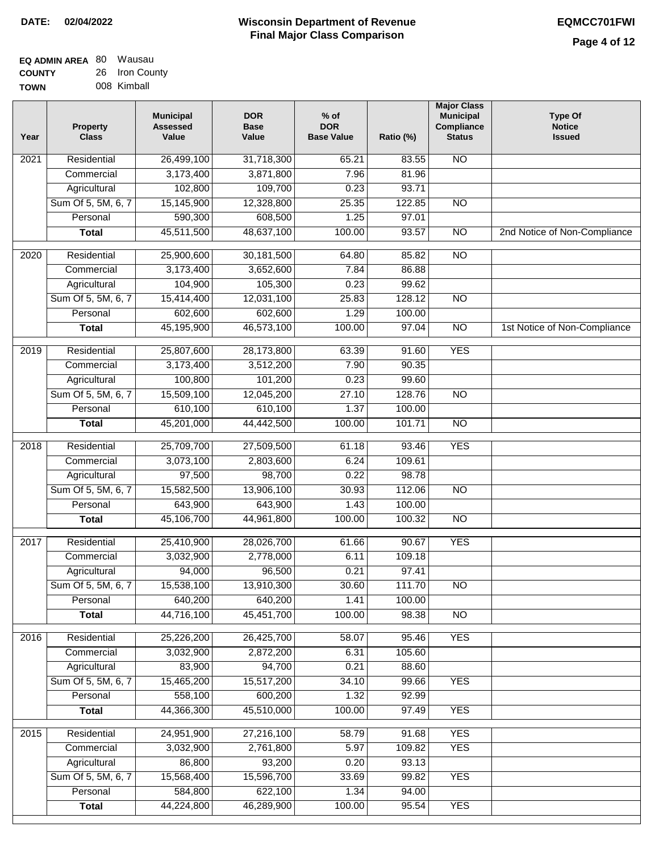| <b>EQ ADMIN AREA 80 Wausau</b> |                |
|--------------------------------|----------------|
| <b>COUNTY</b>                  | 26 Iron County |
| <b>TOWN</b>                    | 008 Kimball    |

| Year              | <b>Property</b><br><b>Class</b> | <b>Municipal</b><br><b>Assessed</b><br>Value | <b>DOR</b><br><b>Base</b><br>Value | % of<br><b>DOR</b><br><b>Base Value</b> | Ratio (%) | <b>Major Class</b><br><b>Municipal</b><br>Compliance<br><b>Status</b> | <b>Type Of</b><br><b>Notice</b><br><b>Issued</b> |
|-------------------|---------------------------------|----------------------------------------------|------------------------------------|-----------------------------------------|-----------|-----------------------------------------------------------------------|--------------------------------------------------|
| $\overline{202}1$ | Residential                     | 26,499,100                                   | 31,718,300                         | 65.21                                   | 83.55     | <b>NO</b>                                                             |                                                  |
|                   | Commercial                      | 3,173,400                                    | 3,871,800                          | 7.96                                    | 81.96     |                                                                       |                                                  |
|                   | Agricultural                    | 102,800                                      | 109,700                            | 0.23                                    | 93.71     |                                                                       |                                                  |
|                   | Sum Of 5, 5M, 6, 7              | 15,145,900                                   | 12,328,800                         | 25.35                                   | 122.85    | $\overline{NO}$                                                       |                                                  |
|                   | Personal                        | 590,300                                      | 608,500                            | 1.25                                    | 97.01     |                                                                       |                                                  |
|                   | <b>Total</b>                    | 45,511,500                                   | 48,637,100                         | 100.00                                  | 93.57     | $\overline{NO}$                                                       | 2nd Notice of Non-Compliance                     |
| $\overline{2020}$ | Residential                     | 25,900,600                                   | 30,181,500                         | 64.80                                   | 85.82     | $\overline{NO}$                                                       |                                                  |
|                   | Commercial                      | 3,173,400                                    | 3,652,600                          | 7.84                                    | 86.88     |                                                                       |                                                  |
|                   | Agricultural                    | 104,900                                      | 105,300                            | 0.23                                    | 99.62     |                                                                       |                                                  |
|                   | Sum Of 5, 5M, 6, 7              | 15,414,400                                   | 12,031,100                         | 25.83                                   | 128.12    | $\overline{NO}$                                                       |                                                  |
|                   | Personal                        | 602,600                                      | 602,600                            | 1.29                                    | 100.00    |                                                                       |                                                  |
|                   | <b>Total</b>                    | 45,195,900                                   | 46,573,100                         | 100.00                                  | 97.04     | $\overline{NO}$                                                       | 1st Notice of Non-Compliance                     |
| 2019              | Residential                     | 25,807,600                                   | 28,173,800                         | 63.39                                   | 91.60     | <b>YES</b>                                                            |                                                  |
|                   | Commercial                      | 3,173,400                                    | 3,512,200                          | 7.90                                    | 90.35     |                                                                       |                                                  |
|                   | Agricultural                    | 100,800                                      | 101,200                            | 0.23                                    | 99.60     |                                                                       |                                                  |
|                   | Sum Of 5, 5M, 6, 7              | 15,509,100                                   | 12,045,200                         | 27.10                                   | 128.76    | $\overline{NO}$                                                       |                                                  |
|                   | Personal                        | 610,100                                      | 610,100                            | 1.37                                    | 100.00    |                                                                       |                                                  |
|                   | <b>Total</b>                    | 45,201,000                                   | 44,442,500                         | 100.00                                  | 101.71    | $\overline{NO}$                                                       |                                                  |
| 2018              | Residential                     | 25,709,700                                   | 27,509,500                         | 61.18                                   | 93.46     | <b>YES</b>                                                            |                                                  |
|                   | Commercial                      | 3,073,100                                    | 2,803,600                          | 6.24                                    | 109.61    |                                                                       |                                                  |
|                   | Agricultural                    | 97,500                                       | 98,700                             | 0.22                                    | 98.78     |                                                                       |                                                  |
|                   | Sum Of 5, 5M, 6, 7              | 15,582,500                                   | 13,906,100                         | 30.93                                   | 112.06    | $\overline{3}$                                                        |                                                  |
|                   | Personal                        | 643,900                                      | 643,900                            | 1.43                                    | 100.00    |                                                                       |                                                  |
|                   | <b>Total</b>                    | 45,106,700                                   | 44,961,800                         | 100.00                                  | 100.32    | <b>NO</b>                                                             |                                                  |
| 2017              | Residential                     | 25,410,900                                   | 28,026,700                         | 61.66                                   | 90.67     | <b>YES</b>                                                            |                                                  |
|                   | Commercial                      | 3,032,900                                    | 2,778,000                          | 6.11                                    | 109.18    |                                                                       |                                                  |
|                   | Agricultural                    | 94,000                                       | 96,500                             | 0.21                                    | 97.41     |                                                                       |                                                  |
|                   | Sum Of 5, 5M, 6, 7              | 15,538,100                                   | 13,910,300                         | 30.60                                   | 111.70    | N <sub>O</sub>                                                        |                                                  |
|                   | Personal                        | 640,200                                      | 640,200                            | 1.41                                    | 100.00    |                                                                       |                                                  |
|                   | <b>Total</b>                    | 44,716,100                                   | 45,451,700                         | 100.00                                  | 98.38     | <b>NO</b>                                                             |                                                  |
| 2016              | Residential                     | 25,226,200                                   | 26,425,700                         | 58.07                                   | 95.46     | <b>YES</b>                                                            |                                                  |
|                   | Commercial                      | 3,032,900                                    | 2,872,200                          | 6.31                                    | 105.60    |                                                                       |                                                  |
|                   | Agricultural                    | 83,900                                       | 94,700                             | 0.21                                    | 88.60     |                                                                       |                                                  |
|                   | Sum Of 5, 5M, 6, 7              | 15,465,200                                   | 15,517,200                         | 34.10                                   | 99.66     | <b>YES</b>                                                            |                                                  |
|                   | Personal                        | 558,100                                      | 600,200                            | 1.32                                    | 92.99     |                                                                       |                                                  |
|                   | <b>Total</b>                    | 44,366,300                                   | 45,510,000                         | 100.00                                  | 97.49     | <b>YES</b>                                                            |                                                  |
| 2015              | Residential                     | 24,951,900                                   | 27,216,100                         | 58.79                                   | 91.68     | <b>YES</b>                                                            |                                                  |
|                   | Commercial                      | 3,032,900                                    | 2,761,800                          | 5.97                                    | 109.82    | <b>YES</b>                                                            |                                                  |
|                   | Agricultural                    | 86,800                                       | 93,200                             | 0.20                                    | 93.13     |                                                                       |                                                  |
|                   | Sum Of 5, 5M, 6, 7              | 15,568,400                                   | 15,596,700                         | 33.69                                   | 99.82     | <b>YES</b>                                                            |                                                  |
|                   | Personal                        | 584,800                                      | 622,100                            | 1.34                                    | 94.00     |                                                                       |                                                  |
|                   | <b>Total</b>                    | 44,224,800                                   | 46,289,900                         | 100.00                                  | 95.54     | <b>YES</b>                                                            |                                                  |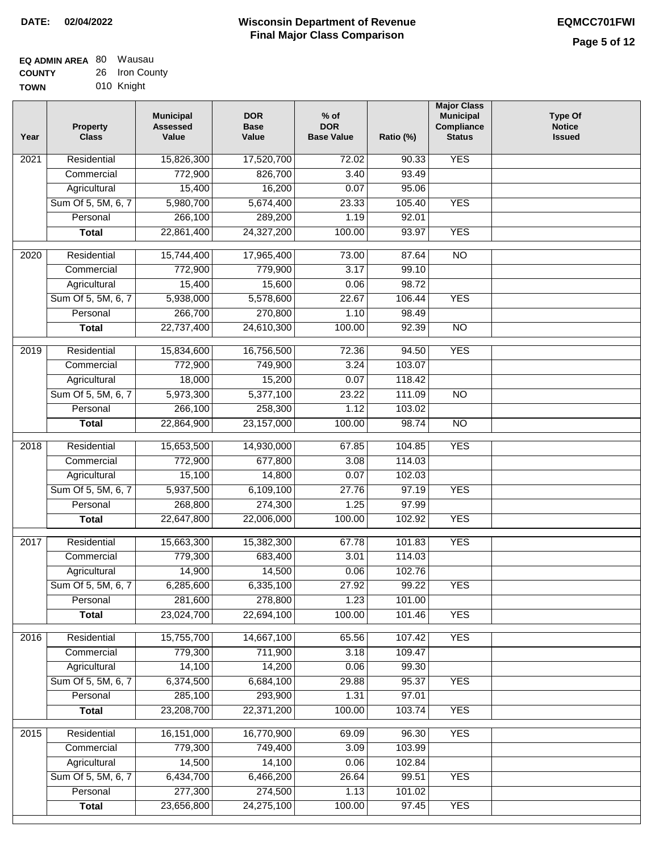| EQ ADMIN AREA 80 | Wausau         |
|------------------|----------------|
| <b>COUNTY</b>    | 26 Iron County |
| <b>TOWN</b>      | 010 Knight     |

| Year | <b>Property</b><br><b>Class</b> | <b>Municipal</b><br><b>Assessed</b><br>Value | <b>DOR</b><br><b>Base</b><br>Value | $%$ of<br><b>DOR</b><br><b>Base Value</b> | Ratio (%)        | <b>Major Class</b><br><b>Municipal</b><br>Compliance<br><b>Status</b> | <b>Type Of</b><br><b>Notice</b><br><b>Issued</b> |
|------|---------------------------------|----------------------------------------------|------------------------------------|-------------------------------------------|------------------|-----------------------------------------------------------------------|--------------------------------------------------|
| 2021 | Residential                     | 15,826,300                                   | 17,520,700                         | 72.02                                     | 90.33            | <b>YES</b>                                                            |                                                  |
|      | Commercial                      | 772,900                                      | 826,700                            | 3.40                                      | 93.49            |                                                                       |                                                  |
|      | Agricultural                    | 15,400                                       | 16,200                             | 0.07                                      | 95.06            |                                                                       |                                                  |
|      | Sum Of 5, 5M, 6, 7              | 5,980,700                                    | 5,674,400                          | 23.33                                     | 105.40           | <b>YES</b>                                                            |                                                  |
|      | Personal                        | 266,100                                      | 289,200                            | 1.19                                      | 92.01            |                                                                       |                                                  |
|      | <b>Total</b>                    | 22,861,400                                   | 24,327,200                         | 100.00                                    | 93.97            | <b>YES</b>                                                            |                                                  |
| 2020 | Residential                     | 15,744,400                                   | 17,965,400                         | 73.00                                     | 87.64            | $\overline{NO}$                                                       |                                                  |
|      | Commercial                      | 772,900                                      | 779,900                            | 3.17                                      | 99.10            |                                                                       |                                                  |
|      | Agricultural                    | 15,400                                       | 15,600                             | 0.06                                      | 98.72            |                                                                       |                                                  |
|      | Sum Of 5, 5M, 6, 7              | 5,938,000                                    | 5,578,600                          | 22.67                                     | 106.44           | <b>YES</b>                                                            |                                                  |
|      | Personal                        | 266,700                                      | 270,800                            | 1.10                                      | 98.49            |                                                                       |                                                  |
|      | <b>Total</b>                    | 22,737,400                                   | 24,610,300                         | 100.00                                    | 92.39            | <b>NO</b>                                                             |                                                  |
|      |                                 |                                              |                                    |                                           |                  |                                                                       |                                                  |
| 2019 | Residential                     | 15,834,600                                   | 16,756,500                         | 72.36                                     | 94.50<br>103.07  | <b>YES</b>                                                            |                                                  |
|      | Commercial                      | 772,900<br>18,000                            | 749,900<br>15,200                  | 3.24                                      |                  |                                                                       |                                                  |
|      | Agricultural                    |                                              |                                    | 0.07                                      | 118.42           |                                                                       |                                                  |
|      | Sum Of 5, 5M, 6, 7<br>Personal  | 5,973,300<br>266,100                         | 5,377,100                          | 23.22<br>1.12                             | 111.09<br>103.02 | $\overline{NO}$                                                       |                                                  |
|      |                                 |                                              | 258,300                            |                                           | 98.74            | <b>NO</b>                                                             |                                                  |
|      | <b>Total</b>                    | 22,864,900                                   | 23,157,000                         | 100.00                                    |                  |                                                                       |                                                  |
| 2018 | Residential                     | 15,653,500                                   | 14,930,000                         | 67.85                                     | 104.85           | <b>YES</b>                                                            |                                                  |
|      | Commercial                      | 772,900                                      | 677,800                            | 3.08                                      | 114.03           |                                                                       |                                                  |
|      | Agricultural                    | 15,100                                       | 14,800                             | 0.07                                      | 102.03           |                                                                       |                                                  |
|      | Sum Of 5, 5M, 6, 7              | 5,937,500                                    | 6,109,100                          | 27.76                                     | 97.19            | <b>YES</b>                                                            |                                                  |
|      | Personal                        | 268,800                                      | 274,300                            | 1.25                                      | 97.99            |                                                                       |                                                  |
|      | <b>Total</b>                    | 22,647,800                                   | 22,006,000                         | 100.00                                    | 102.92           | <b>YES</b>                                                            |                                                  |
| 2017 | Residential                     | 15,663,300                                   | 15,382,300                         | 67.78                                     | 101.83           | <b>YES</b>                                                            |                                                  |
|      | Commercial                      | 779,300                                      | 683,400                            | 3.01                                      | 114.03           |                                                                       |                                                  |
|      | Agricultural                    | 14,900                                       | 14,500                             | 0.06                                      | 102.76           |                                                                       |                                                  |
|      | Sum Of 5, 5M, 6, 7              | 6,285,600                                    | 6,335,100                          | 27.92                                     | 99.22            | <b>YES</b>                                                            |                                                  |
|      | Personal                        | 281,600                                      | 278,800                            | 1.23                                      | 101.00           |                                                                       |                                                  |
|      | <b>Total</b>                    | 23,024,700                                   | 22,694,100                         | 100.00                                    | 101.46           | <b>YES</b>                                                            |                                                  |
| 2016 | Residential                     | 15,755,700                                   | 14,667,100                         | 65.56                                     | 107.42           | <b>YES</b>                                                            |                                                  |
|      | Commercial                      | 779,300                                      | 711,900                            | 3.18                                      | 109.47           |                                                                       |                                                  |
|      | Agricultural                    | 14,100                                       | 14,200                             | 0.06                                      | 99.30            |                                                                       |                                                  |
|      | Sum Of 5, 5M, 6, 7              | 6,374,500                                    | 6,684,100                          | 29.88                                     | 95.37            | <b>YES</b>                                                            |                                                  |
|      | Personal                        | 285,100                                      | 293,900                            | 1.31                                      | 97.01            |                                                                       |                                                  |
|      | <b>Total</b>                    | 23,208,700                                   | 22,371,200                         | 100.00                                    | 103.74           | <b>YES</b>                                                            |                                                  |
| 2015 | Residential                     | 16,151,000                                   | 16,770,900                         | 69.09                                     | 96.30            | <b>YES</b>                                                            |                                                  |
|      | Commercial                      | 779,300                                      | 749,400                            | 3.09                                      | 103.99           |                                                                       |                                                  |
|      | Agricultural                    | 14,500                                       | 14,100                             | 0.06                                      | 102.84           |                                                                       |                                                  |
|      | Sum Of 5, 5M, 6, 7              | 6,434,700                                    | 6,466,200                          | 26.64                                     | 99.51            | <b>YES</b>                                                            |                                                  |
|      | Personal                        | 277,300                                      | 274,500                            | 1.13                                      | 101.02           |                                                                       |                                                  |
|      | <b>Total</b>                    | 23,656,800                                   | 24,275,100                         | 100.00                                    | 97.45            | <b>YES</b>                                                            |                                                  |
|      |                                 |                                              |                                    |                                           |                  |                                                                       |                                                  |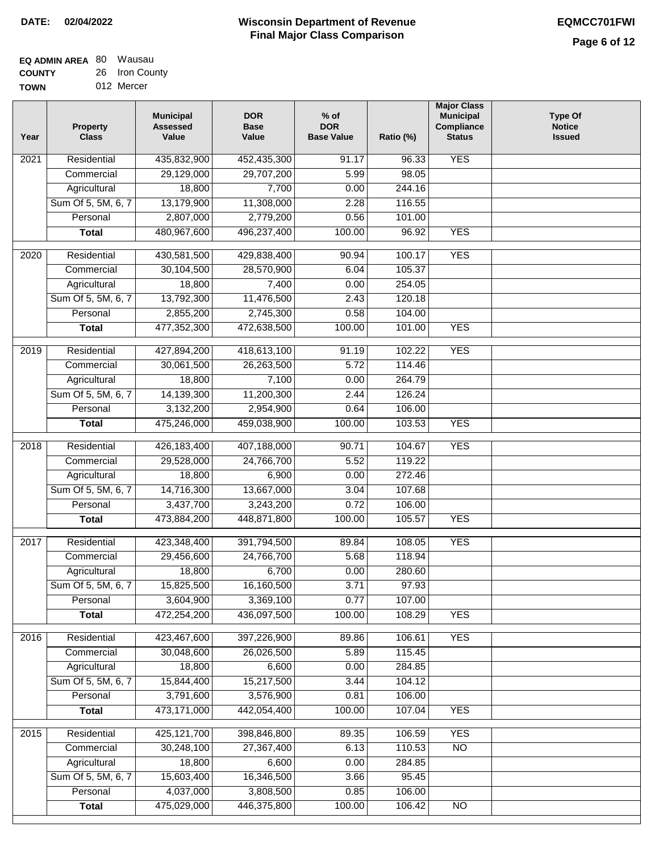| <b>EQ ADMIN AREA 80 Wausau</b> |                |
|--------------------------------|----------------|
| <b>COUNTY</b>                  | 26 Iron County |
| <b>TOWN</b>                    | 012 Mercer     |

| <b>YES</b><br>Residential<br>435,832,900<br>$\overline{202}1$<br>452,435,300<br>91.17<br>96.33<br>29,129,000<br>29,707,200<br>5.99<br>98.05<br>Commercial<br>Agricultural<br>18,800<br>7,700<br>0.00<br>244.16<br>Sum Of 5, 5M, 6, 7<br>13,179,900<br>11,308,000<br>2.28<br>116.55<br>2,807,000<br>2,779,200<br>Personal<br>0.56<br>101.00<br>480,967,600<br>100.00<br>96.92<br><b>YES</b><br><b>Total</b><br>496,237,400 |  |
|---------------------------------------------------------------------------------------------------------------------------------------------------------------------------------------------------------------------------------------------------------------------------------------------------------------------------------------------------------------------------------------------------------------------------|--|
|                                                                                                                                                                                                                                                                                                                                                                                                                           |  |
|                                                                                                                                                                                                                                                                                                                                                                                                                           |  |
|                                                                                                                                                                                                                                                                                                                                                                                                                           |  |
|                                                                                                                                                                                                                                                                                                                                                                                                                           |  |
|                                                                                                                                                                                                                                                                                                                                                                                                                           |  |
|                                                                                                                                                                                                                                                                                                                                                                                                                           |  |
| <b>YES</b><br>$\overline{2020}$<br>Residential<br>430,581,500<br>429,838,400<br>90.94<br>100.17                                                                                                                                                                                                                                                                                                                           |  |
| 30,104,500<br>Commercial<br>28,570,900<br>6.04<br>105.37                                                                                                                                                                                                                                                                                                                                                                  |  |
| 18,800<br>7,400<br>0.00<br>254.05<br>Agricultural                                                                                                                                                                                                                                                                                                                                                                         |  |
| Sum Of 5, 5M, 6, 7<br>13,792,300<br>11,476,500<br>2.43<br>120.18                                                                                                                                                                                                                                                                                                                                                          |  |
| 2,855,200<br>2,745,300<br>104.00<br>Personal<br>0.58                                                                                                                                                                                                                                                                                                                                                                      |  |
| <b>YES</b><br>477,352,300<br>472,638,500<br>100.00<br><b>Total</b><br>101.00                                                                                                                                                                                                                                                                                                                                              |  |
| <b>YES</b><br>Residential<br>427,894,200<br>418,613,100<br>91.19<br>102.22<br>2019                                                                                                                                                                                                                                                                                                                                        |  |
| 30,061,500<br>5.72<br>114.46<br>Commercial<br>26,263,500                                                                                                                                                                                                                                                                                                                                                                  |  |
| 18,800<br>7,100<br>0.00<br>264.79<br>Agricultural                                                                                                                                                                                                                                                                                                                                                                         |  |
| Sum Of 5, 5M, 6, 7<br>14,139,300<br>11,200,300<br>2.44<br>126.24                                                                                                                                                                                                                                                                                                                                                          |  |
| 3,132,200<br>Personal<br>2,954,900<br>0.64<br>106.00                                                                                                                                                                                                                                                                                                                                                                      |  |
| 475,246,000<br>100.00<br><b>YES</b><br><b>Total</b><br>459,038,900<br>103.53                                                                                                                                                                                                                                                                                                                                              |  |
| Residential<br>426,183,400<br>407,188,000<br>104.67<br><b>YES</b><br>2018<br>90.71                                                                                                                                                                                                                                                                                                                                        |  |
| 24,766,700<br>Commercial<br>29,528,000<br>5.52<br>119.22                                                                                                                                                                                                                                                                                                                                                                  |  |
| 272.46<br>Agricultural<br>18,800<br>6,900<br>0.00                                                                                                                                                                                                                                                                                                                                                                         |  |
| 14,716,300<br>Sum Of 5, 5M, 6, 7<br>13,667,000<br>107.68<br>3.04                                                                                                                                                                                                                                                                                                                                                          |  |
| 3,437,700<br>Personal<br>3,243,200<br>0.72<br>106.00                                                                                                                                                                                                                                                                                                                                                                      |  |
| 473,884,200<br>448,871,800<br>100.00<br>105.57<br><b>YES</b><br><b>Total</b>                                                                                                                                                                                                                                                                                                                                              |  |
| 2017<br>Residential<br>423,348,400<br>391,794,500<br><b>YES</b><br>89.84<br>108.05                                                                                                                                                                                                                                                                                                                                        |  |
| Commercial<br>29,456,600<br>24,766,700<br>5.68<br>118.94                                                                                                                                                                                                                                                                                                                                                                  |  |
| 18,800<br>6,700<br>0.00<br>280.60<br>Agricultural                                                                                                                                                                                                                                                                                                                                                                         |  |
| 15,825,500<br>16,160,500<br>3.71<br>97.93<br>Sum Of 5, 5M, 6, 7                                                                                                                                                                                                                                                                                                                                                           |  |
| 3,604,900<br>0.77<br>Personal<br>3,369,100<br>107.00                                                                                                                                                                                                                                                                                                                                                                      |  |
| 472,254,200<br>436,097,500<br>100.00<br>108.29<br><b>YES</b><br><b>Total</b>                                                                                                                                                                                                                                                                                                                                              |  |
| <b>YES</b><br>Residential<br>423,467,600<br>397,226,900<br>2016<br>89.86<br>106.61                                                                                                                                                                                                                                                                                                                                        |  |
| 30,048,600<br>26,026,500<br>5.89<br>115.45<br>Commercial                                                                                                                                                                                                                                                                                                                                                                  |  |
| 18,800<br>6,600<br>0.00<br>Agricultural<br>284.85                                                                                                                                                                                                                                                                                                                                                                         |  |
| Sum Of 5, 5M, 6, 7<br>15,217,500<br>15,844,400<br>3.44<br>104.12                                                                                                                                                                                                                                                                                                                                                          |  |
| 3,791,600<br>3,576,900<br>106.00<br>Personal<br>0.81                                                                                                                                                                                                                                                                                                                                                                      |  |
| 473,171,000<br>442,054,400<br>100.00<br>107.04<br><b>YES</b><br><b>Total</b>                                                                                                                                                                                                                                                                                                                                              |  |
| Residential<br><b>YES</b><br>425,121,700<br>398,846,800<br>89.35<br>106.59<br>2015                                                                                                                                                                                                                                                                                                                                        |  |
| 30,248,100<br>27,367,400<br>6.13<br>110.53<br>$\overline{NO}$<br>Commercial                                                                                                                                                                                                                                                                                                                                               |  |
| 18,800<br>6,600<br>0.00<br>284.85<br>Agricultural                                                                                                                                                                                                                                                                                                                                                                         |  |
| Sum Of 5, 5M, 6, 7<br>15,603,400<br>16,346,500<br>3.66<br>95.45                                                                                                                                                                                                                                                                                                                                                           |  |
| 4,037,000<br>Personal<br>3,808,500<br>0.85<br>106.00                                                                                                                                                                                                                                                                                                                                                                      |  |
| 475,029,000<br>446,375,800<br>100.00<br><b>Total</b><br>106.42<br>NO                                                                                                                                                                                                                                                                                                                                                      |  |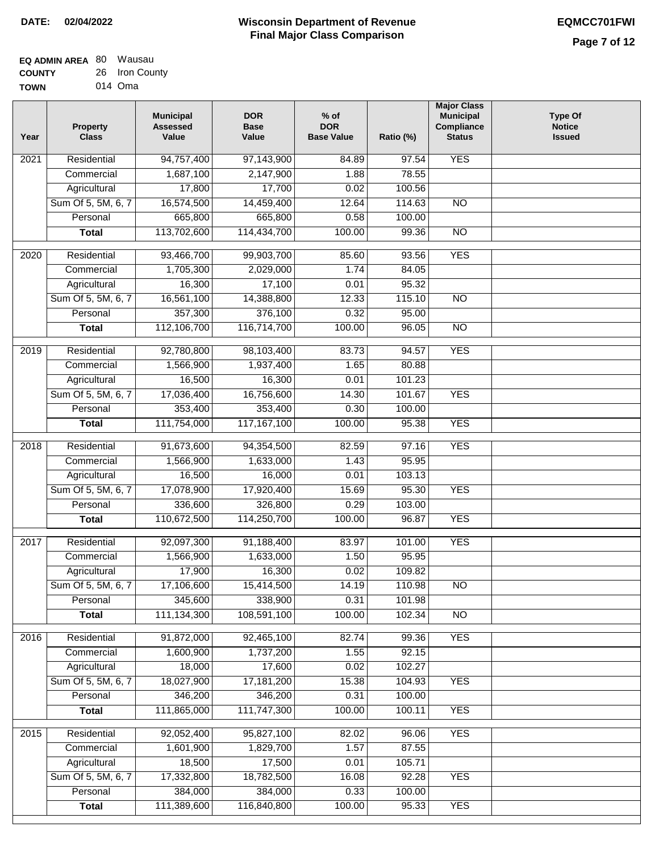| <b>EQ ADMIN AREA 80 Wausau</b> |                |
|--------------------------------|----------------|
| <b>COUNTY</b>                  | 26 Iron County |
| <b>TOWN</b>                    | 014 Oma        |

| Year              | <b>Property</b><br><b>Class</b>    | <b>Municipal</b><br><b>Assessed</b><br>Value | <b>DOR</b><br><b>Base</b><br>Value | $%$ of<br><b>DOR</b><br><b>Base Value</b> | Ratio (%)        | <b>Major Class</b><br><b>Municipal</b><br>Compliance<br><b>Status</b> | <b>Type Of</b><br><b>Notice</b><br><b>Issued</b> |
|-------------------|------------------------------------|----------------------------------------------|------------------------------------|-------------------------------------------|------------------|-----------------------------------------------------------------------|--------------------------------------------------|
| 2021              | Residential                        | 94,757,400                                   | 97,143,900                         | 84.89                                     | 97.54            | <b>YES</b>                                                            |                                                  |
|                   | Commercial                         | 1,687,100                                    | 2,147,900                          | 1.88                                      | 78.55            |                                                                       |                                                  |
|                   | Agricultural                       | 17,800                                       | 17,700                             | 0.02                                      | 100.56           |                                                                       |                                                  |
|                   | Sum Of 5, 5M, 6, 7                 | 16,574,500                                   | 14,459,400                         | 12.64                                     | 114.63           | N <sub>O</sub>                                                        |                                                  |
|                   | Personal                           | 665,800                                      | 665,800                            | 0.58                                      | 100.00           |                                                                       |                                                  |
|                   | <b>Total</b>                       | 113,702,600                                  | 114,434,700                        | 100.00                                    | 99.36            | $\overline{NO}$                                                       |                                                  |
| $\overline{2020}$ | Residential                        | 93,466,700                                   | 99,903,700                         | 85.60                                     | 93.56            | <b>YES</b>                                                            |                                                  |
|                   | Commercial                         | 1,705,300                                    | 2,029,000                          | 1.74                                      | 84.05            |                                                                       |                                                  |
|                   | Agricultural                       | 16,300                                       | 17,100                             | 0.01                                      | 95.32            |                                                                       |                                                  |
|                   | Sum Of 5, 5M, 6, 7                 | 16,561,100                                   | 14,388,800                         | 12.33                                     | 115.10           | $\overline{NO}$                                                       |                                                  |
|                   | Personal                           | 357,300                                      | 376,100                            | 0.32                                      | 95.00            |                                                                       |                                                  |
|                   | <b>Total</b>                       | 112,106,700                                  | 116,714,700                        | 100.00                                    | 96.05            | $\overline{NO}$                                                       |                                                  |
|                   |                                    |                                              |                                    |                                           |                  |                                                                       |                                                  |
| 2019              | Residential                        | 92,780,800                                   | 98,103,400                         | 83.73                                     | 94.57            | <b>YES</b>                                                            |                                                  |
|                   | Commercial                         | 1,566,900                                    | 1,937,400                          | 1.65                                      | 80.88            |                                                                       |                                                  |
|                   | Agricultural                       | 16,500                                       | 16,300                             | 0.01                                      | 101.23           |                                                                       |                                                  |
|                   | Sum Of 5, 5M, 6, 7                 | 17,036,400                                   | 16,756,600                         | 14.30                                     | 101.67           | <b>YES</b>                                                            |                                                  |
|                   | Personal                           | 353,400                                      | 353,400                            | 0.30                                      | 100.00           |                                                                       |                                                  |
|                   | <b>Total</b>                       | 111,754,000                                  | 117, 167, 100                      | 100.00                                    | 95.38            | <b>YES</b>                                                            |                                                  |
| 2018              | Residential                        | 91,673,600                                   | 94,354,500                         | 82.59                                     | 97.16            | <b>YES</b>                                                            |                                                  |
|                   | Commercial                         | 1,566,900                                    | 1,633,000                          | 1.43                                      | 95.95            |                                                                       |                                                  |
|                   | Agricultural                       | 16,500                                       | 16,000                             | 0.01                                      | 103.13           |                                                                       |                                                  |
|                   | Sum Of 5, 5M, 6, 7                 | 17,078,900                                   | 17,920,400                         | 15.69                                     | 95.30            | <b>YES</b>                                                            |                                                  |
|                   | Personal                           | 336,600                                      | 326,800                            | 0.29                                      | 103.00           |                                                                       |                                                  |
|                   | <b>Total</b>                       | 110,672,500                                  | 114,250,700                        | 100.00                                    | 96.87            | <b>YES</b>                                                            |                                                  |
| 2017              | Residential                        | 92,097,300                                   | 91,188,400                         | 83.97                                     | 101.00           | <b>YES</b>                                                            |                                                  |
|                   | Commercial                         | 1,566,900                                    | 1,633,000                          | 1.50                                      | 95.95            |                                                                       |                                                  |
|                   | Agricultural                       | 17,900                                       | 16,300                             | 0.02                                      | 109.82           |                                                                       |                                                  |
|                   | Sum Of 5, 5M, 6, 7                 | 17,106,600                                   | 15,414,500                         | 14.19                                     | 110.98           | <b>NO</b>                                                             |                                                  |
|                   | Personal                           | 345,600                                      | 338,900                            | 0.31                                      | 101.98           |                                                                       |                                                  |
|                   | <b>Total</b>                       | 111,134,300                                  | 108,591,100                        | 100.00                                    | 102.34           | <b>NO</b>                                                             |                                                  |
|                   |                                    |                                              |                                    |                                           |                  |                                                                       |                                                  |
| 2016              | Residential                        | 91,872,000                                   | 92,465,100                         | 82.74                                     | 99.36            | <b>YES</b>                                                            |                                                  |
|                   | Commercial                         | 1,600,900<br>18,000                          | 1,737,200                          | 1.55                                      | 92.15            |                                                                       |                                                  |
|                   | Agricultural<br>Sum Of 5, 5M, 6, 7 | 18,027,900                                   | 17,600<br>17, 181, 200             | 0.02<br>15.38                             | 102.27<br>104.93 | <b>YES</b>                                                            |                                                  |
|                   | Personal                           | 346,200                                      | 346,200                            | 0.31                                      | 100.00           |                                                                       |                                                  |
|                   | <b>Total</b>                       | 111,865,000                                  | 111,747,300                        | 100.00                                    | 100.11           | <b>YES</b>                                                            |                                                  |
|                   |                                    |                                              |                                    |                                           |                  |                                                                       |                                                  |
| 2015              | Residential                        | 92,052,400                                   | 95,827,100                         | 82.02                                     | 96.06            | <b>YES</b>                                                            |                                                  |
|                   | Commercial                         | 1,601,900                                    | 1,829,700                          | 1.57                                      | 87.55            |                                                                       |                                                  |
|                   | Agricultural                       | 18,500                                       | 17,500                             | 0.01                                      | 105.71           |                                                                       |                                                  |
|                   | Sum Of 5, 5M, 6, 7                 | 17,332,800                                   | 18,782,500                         | 16.08                                     | 92.28            | <b>YES</b>                                                            |                                                  |
|                   | Personal                           | 384,000                                      | 384,000                            | 0.33                                      | 100.00           |                                                                       |                                                  |
|                   | <b>Total</b>                       | 111,389,600                                  | 116,840,800                        | 100.00                                    | 95.33            | <b>YES</b>                                                            |                                                  |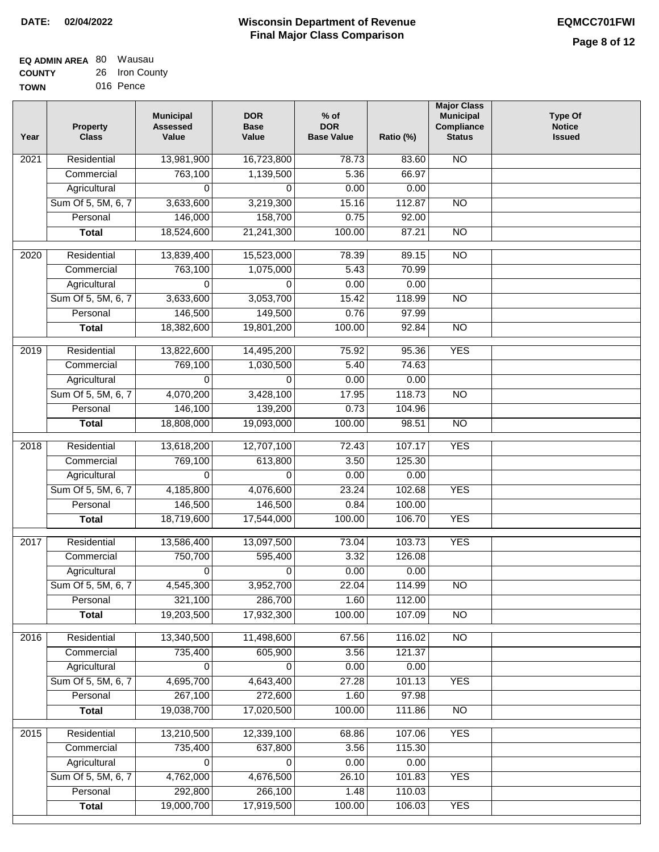| <b>EQ ADMIN AREA 80 Wausau</b> |                |
|--------------------------------|----------------|
| <b>COUNTY</b>                  | 26 Iron County |
| <b>TOWN</b>                    | 016 Pence      |

| Year              | <b>Property</b><br><b>Class</b> | <b>Municipal</b><br><b>Assessed</b><br>Value | <b>DOR</b><br><b>Base</b><br>Value | $%$ of<br><b>DOR</b><br><b>Base Value</b> | Ratio (%) | <b>Major Class</b><br><b>Municipal</b><br>Compliance<br><b>Status</b> | <b>Type Of</b><br><b>Notice</b><br><b>Issued</b> |
|-------------------|---------------------------------|----------------------------------------------|------------------------------------|-------------------------------------------|-----------|-----------------------------------------------------------------------|--------------------------------------------------|
| $\overline{202}1$ | Residential                     | 13,981,900                                   | 16,723,800                         | 78.73                                     | 83.60     | <b>NO</b>                                                             |                                                  |
|                   | Commercial                      | 763,100                                      | 1,139,500                          | 5.36                                      | 66.97     |                                                                       |                                                  |
|                   | Agricultural                    | 0                                            | 0                                  | 0.00                                      | 0.00      |                                                                       |                                                  |
|                   | Sum Of 5, 5M, 6, 7              | 3,633,600                                    | 3,219,300                          | 15.16                                     | 112.87    | $\overline{NO}$                                                       |                                                  |
|                   | Personal                        | 146,000                                      | 158,700                            | 0.75                                      | 92.00     |                                                                       |                                                  |
|                   | <b>Total</b>                    | 18,524,600                                   | 21,241,300                         | 100.00                                    | 87.21     | $\overline{NO}$                                                       |                                                  |
| $\overline{2020}$ | Residential                     | 13,839,400                                   | 15,523,000                         | 78.39                                     | 89.15     | $\overline{NO}$                                                       |                                                  |
|                   | Commercial                      | 763,100                                      | 1,075,000                          | 5.43                                      | 70.99     |                                                                       |                                                  |
|                   | Agricultural                    | 0                                            | 0                                  | 0.00                                      | 0.00      |                                                                       |                                                  |
|                   | Sum Of 5, 5M, 6, 7              | 3,633,600                                    | 3,053,700                          | 15.42                                     | 118.99    | $\overline{NO}$                                                       |                                                  |
|                   | Personal                        | 146,500                                      | 149,500                            | 0.76                                      | 97.99     |                                                                       |                                                  |
|                   | <b>Total</b>                    | 18,382,600                                   | 19,801,200                         | 100.00                                    | 92.84     | $\overline{NO}$                                                       |                                                  |
| 2019              | Residential                     | 13,822,600                                   | 14,495,200                         | 75.92                                     | 95.36     | <b>YES</b>                                                            |                                                  |
|                   | Commercial                      | 769,100                                      | 1,030,500                          | 5.40                                      | 74.63     |                                                                       |                                                  |
|                   | Agricultural                    | 0                                            | 0                                  | 0.00                                      | 0.00      |                                                                       |                                                  |
|                   | Sum Of 5, 5M, 6, 7              | 4,070,200                                    | 3,428,100                          | 17.95                                     | 118.73    | $\overline{NO}$                                                       |                                                  |
|                   | Personal                        | 146,100                                      | 139,200                            | 0.73                                      | 104.96    |                                                                       |                                                  |
|                   | <b>Total</b>                    | 18,808,000                                   | 19,093,000                         | 100.00                                    | 98.51     | $\overline{NO}$                                                       |                                                  |
| 2018              | Residential                     | 13,618,200                                   | 12,707,100                         | 72.43                                     | 107.17    | <b>YES</b>                                                            |                                                  |
|                   | Commercial                      | 769,100                                      | 613,800                            | 3.50                                      | 125.30    |                                                                       |                                                  |
|                   | Agricultural                    | 0                                            | 0                                  | 0.00                                      | 0.00      |                                                                       |                                                  |
|                   | Sum Of 5, 5M, 6, 7              | 4,185,800                                    | 4,076,600                          | 23.24                                     | 102.68    | <b>YES</b>                                                            |                                                  |
|                   | Personal                        | 146,500                                      | 146,500                            | 0.84                                      | 100.00    |                                                                       |                                                  |
|                   | <b>Total</b>                    | 18,719,600                                   | 17,544,000                         | 100.00                                    | 106.70    | <b>YES</b>                                                            |                                                  |
| 2017              | Residential                     | 13,586,400                                   | 13,097,500                         | 73.04                                     | 103.73    | <b>YES</b>                                                            |                                                  |
|                   | Commercial                      | 750,700                                      | 595,400                            | 3.32                                      | 126.08    |                                                                       |                                                  |
|                   | Agricultural                    | 0                                            | 0                                  | 0.00                                      | 0.00      |                                                                       |                                                  |
|                   | Sum Of 5, 5M, 6, 7              | 4,545,300                                    | 3,952,700                          | 22.04                                     | 114.99    | <b>NO</b>                                                             |                                                  |
|                   | Personal                        | 321,100                                      | 286,700                            | 1.60                                      | 112.00    |                                                                       |                                                  |
|                   | <b>Total</b>                    | 19,203,500                                   | 17,932,300                         | 100.00                                    | 107.09    | <b>NO</b>                                                             |                                                  |
| 2016              | Residential                     | 13,340,500                                   | 11,498,600                         | 67.56                                     | 116.02    | $\overline{NO}$                                                       |                                                  |
|                   | Commercial                      | 735,400                                      | 605,900                            | 3.56                                      | 121.37    |                                                                       |                                                  |
|                   | Agricultural                    | 0                                            | 0                                  | 0.00                                      | 0.00      |                                                                       |                                                  |
|                   | Sum Of 5, 5M, 6, 7              | 4,695,700                                    | 4,643,400                          | 27.28                                     | 101.13    | <b>YES</b>                                                            |                                                  |
|                   | Personal                        | 267,100                                      | 272,600                            | 1.60                                      | 97.98     |                                                                       |                                                  |
|                   | <b>Total</b>                    | 19,038,700                                   | 17,020,500                         | 100.00                                    | 111.86    | $\overline{NO}$                                                       |                                                  |
| 2015              | Residential                     | 13,210,500                                   | 12,339,100                         | 68.86                                     | 107.06    | <b>YES</b>                                                            |                                                  |
|                   | Commercial                      | 735,400                                      | 637,800                            | 3.56                                      | 115.30    |                                                                       |                                                  |
|                   | Agricultural                    | 0                                            | 0                                  | 0.00                                      | 0.00      |                                                                       |                                                  |
|                   | Sum Of 5, 5M, 6, 7              | 4,762,000                                    | 4,676,500                          | 26.10                                     | 101.83    | <b>YES</b>                                                            |                                                  |
|                   | Personal                        | 292,800                                      | 266,100                            | 1.48                                      | 110.03    |                                                                       |                                                  |
|                   | <b>Total</b>                    | 19,000,700                                   | 17,919,500                         | 100.00                                    | 106.03    | <b>YES</b>                                                            |                                                  |
|                   |                                 |                                              |                                    |                                           |           |                                                                       |                                                  |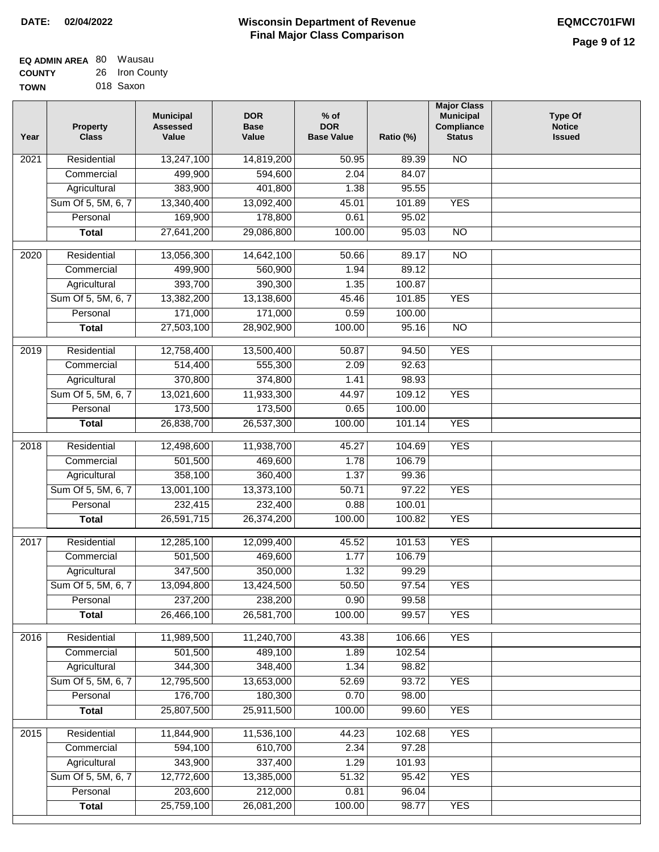| <b>EQ ADMIN AREA 80 Wausau</b> |                |
|--------------------------------|----------------|
| <b>COUNTY</b>                  | 26 Iron County |
| <b>TOWN</b>                    | 018 Saxon      |

| Year              | <b>Property</b><br><b>Class</b>    | <b>Municipal</b><br><b>Assessed</b><br>Value | <b>DOR</b><br><b>Base</b><br>Value | % of<br><b>DOR</b><br><b>Base Value</b> | Ratio (%)       | <b>Major Class</b><br><b>Municipal</b><br>Compliance<br><b>Status</b> | <b>Type Of</b><br><b>Notice</b><br><b>Issued</b> |
|-------------------|------------------------------------|----------------------------------------------|------------------------------------|-----------------------------------------|-----------------|-----------------------------------------------------------------------|--------------------------------------------------|
| 2021              | Residential                        | 13,247,100                                   | 14,819,200                         | 50.95                                   | 89.39           | N <sub>O</sub>                                                        |                                                  |
|                   | Commercial                         | 499,900                                      | 594,600                            | 2.04                                    | 84.07           |                                                                       |                                                  |
|                   | Agricultural                       | 383,900                                      | 401,800                            | 1.38                                    | 95.55           |                                                                       |                                                  |
|                   | Sum Of 5, 5M, 6, 7                 | 13,340,400                                   | 13,092,400                         | 45.01                                   | 101.89          | <b>YES</b>                                                            |                                                  |
|                   | Personal                           | 169,900                                      | 178,800                            | 0.61                                    | 95.02           |                                                                       |                                                  |
|                   | <b>Total</b>                       | 27,641,200                                   | 29,086,800                         | 100.00                                  | 95.03           | $\overline{NO}$                                                       |                                                  |
|                   |                                    |                                              |                                    |                                         |                 |                                                                       |                                                  |
| $\overline{2020}$ | Residential                        | 13,056,300                                   | 14,642,100                         | 50.66                                   | 89.17           | $\overline{NO}$                                                       |                                                  |
|                   | Commercial                         | 499,900<br>393,700                           | 560,900                            | 1.94<br>1.35                            | 89.12<br>100.87 |                                                                       |                                                  |
|                   | Agricultural<br>Sum Of 5, 5M, 6, 7 | 13,382,200                                   | 390,300<br>13,138,600              | 45.46                                   | 101.85          | <b>YES</b>                                                            |                                                  |
|                   | Personal                           | 171,000                                      | 171,000                            | 0.59                                    | 100.00          |                                                                       |                                                  |
|                   | <b>Total</b>                       | 27,503,100                                   | 28,902,900                         | 100.00                                  | 95.16           | $\overline{NO}$                                                       |                                                  |
|                   |                                    |                                              |                                    |                                         |                 |                                                                       |                                                  |
| 2019              | Residential                        | 12,758,400                                   | 13,500,400                         | 50.87                                   | 94.50           | <b>YES</b>                                                            |                                                  |
|                   | Commercial                         | 514,400                                      | 555,300                            | 2.09                                    | 92.63           |                                                                       |                                                  |
|                   | Agricultural                       | 370,800                                      | 374,800                            | 1.41                                    | 98.93           |                                                                       |                                                  |
|                   | Sum Of 5, 5M, 6, 7                 | 13,021,600                                   | 11,933,300                         | 44.97                                   | 109.12          | <b>YES</b>                                                            |                                                  |
|                   | Personal                           | 173,500                                      | 173,500                            | 0.65                                    | 100.00          |                                                                       |                                                  |
|                   | <b>Total</b>                       | 26,838,700                                   | 26,537,300                         | 100.00                                  | 101.14          | <b>YES</b>                                                            |                                                  |
| 2018              | Residential                        | 12,498,600                                   | 11,938,700                         | 45.27                                   | 104.69          | <b>YES</b>                                                            |                                                  |
|                   | Commercial                         | 501,500                                      | 469,600                            | 1.78                                    | 106.79          |                                                                       |                                                  |
|                   | Agricultural                       | 358,100                                      | 360,400                            | 1.37                                    | 99.36           |                                                                       |                                                  |
|                   | Sum Of 5, 5M, 6, 7                 | 13,001,100                                   | 13,373,100                         | 50.71                                   | 97.22           | <b>YES</b>                                                            |                                                  |
|                   | Personal                           | 232,415                                      | 232,400                            | 0.88                                    | 100.01          |                                                                       |                                                  |
|                   | <b>Total</b>                       | 26,591,715                                   | 26,374,200                         | 100.00                                  | 100.82          | <b>YES</b>                                                            |                                                  |
| 2017              | Residential                        | 12,285,100                                   | 12,099,400                         | 45.52                                   | 101.53          | <b>YES</b>                                                            |                                                  |
|                   | Commercial                         | 501,500                                      | 469,600                            | 1.77                                    | 106.79          |                                                                       |                                                  |
|                   | Agricultural                       | 347,500                                      | 350,000                            | 1.32                                    | 99.29           |                                                                       |                                                  |
|                   | Sum Of 5, 5M, 6, 7                 | 13,094,800                                   | 13,424,500                         | 50.50                                   | 97.54           | <b>YES</b>                                                            |                                                  |
|                   | Personal                           | 237,200                                      | 238,200                            | 0.90                                    | 99.58           |                                                                       |                                                  |
|                   | <b>Total</b>                       | 26,466,100                                   | 26,581,700                         | 100.00                                  | 99.57           | <b>YES</b>                                                            |                                                  |
| 2016              | Residential                        | 11,989,500                                   | 11,240,700                         | 43.38                                   | 106.66          | <b>YES</b>                                                            |                                                  |
|                   | Commercial                         | 501,500                                      | 489,100                            | 1.89                                    | 102.54          |                                                                       |                                                  |
|                   | Agricultural                       | 344,300                                      | 348,400                            | 1.34                                    | 98.82           |                                                                       |                                                  |
|                   | Sum Of 5, 5M, 6, 7                 | 12,795,500                                   | 13,653,000                         | 52.69                                   | 93.72           | <b>YES</b>                                                            |                                                  |
|                   | Personal                           | 176,700                                      | 180,300                            | 0.70                                    | 98.00           |                                                                       |                                                  |
|                   | <b>Total</b>                       | 25,807,500                                   | 25,911,500                         | 100.00                                  | 99.60           | <b>YES</b>                                                            |                                                  |
|                   |                                    |                                              |                                    |                                         |                 |                                                                       |                                                  |
| 2015              | Residential                        | 11,844,900                                   | 11,536,100                         | 44.23                                   | 102.68          | <b>YES</b>                                                            |                                                  |
|                   | Commercial                         | 594,100                                      | 610,700                            | 2.34                                    | 97.28           |                                                                       |                                                  |
|                   | Agricultural                       | 343,900                                      | 337,400                            | 1.29                                    | 101.93          |                                                                       |                                                  |
|                   | Sum Of 5, 5M, 6, 7                 | 12,772,600                                   | 13,385,000                         | 51.32                                   | 95.42           | <b>YES</b>                                                            |                                                  |
|                   | Personal                           | 203,600                                      | 212,000                            | 0.81                                    | 96.04           |                                                                       |                                                  |
|                   | <b>Total</b>                       | 25,759,100                                   | 26,081,200                         | 100.00                                  | 98.77           | <b>YES</b>                                                            |                                                  |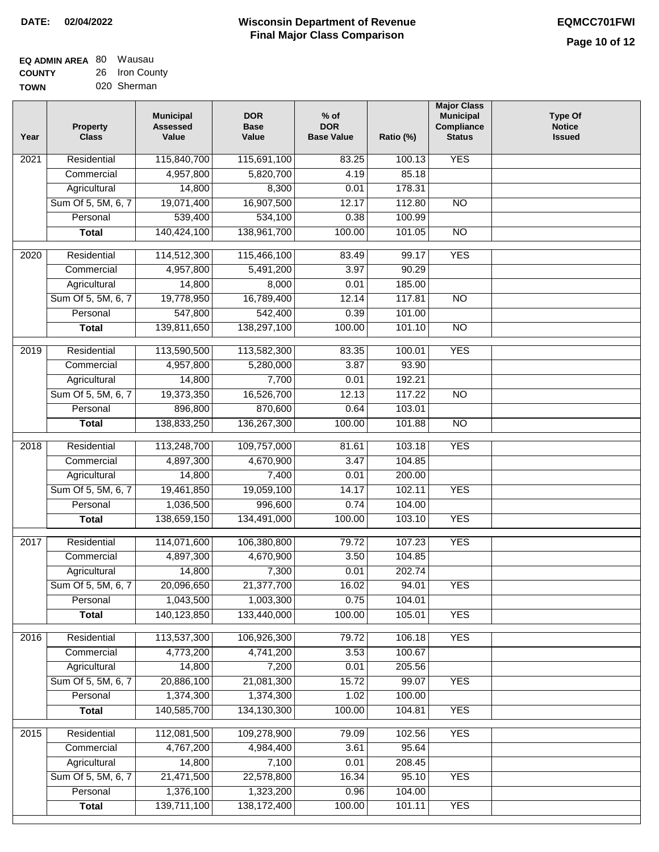| <b>EQ ADMIN AREA 80 Wausau</b> |                |
|--------------------------------|----------------|
| <b>COUNTY</b>                  | 26 Iron County |
| <b>TOWN</b>                    | 020 Sherman    |

| <b>YES</b><br>115,840,700<br>2021<br>Residential<br>115,691,100<br>83.25<br>100.13<br>4,957,800<br>5,820,700<br>4.19<br>85.18<br>Commercial<br>Agricultural<br>14,800<br>8,300<br>178.31<br>0.01<br>Sum Of 5, 5M, 6, 7<br>19,071,400<br>16,907,500<br>12.17<br>112.80<br>N <sub>O</sub><br>539,400<br>534,100<br>Personal<br>0.38<br>100.99<br>140,424,100<br>138,961,700<br>100.00<br>$\overline{NO}$<br><b>Total</b><br>101.05 |  |
|----------------------------------------------------------------------------------------------------------------------------------------------------------------------------------------------------------------------------------------------------------------------------------------------------------------------------------------------------------------------------------------------------------------------------------|--|
|                                                                                                                                                                                                                                                                                                                                                                                                                                  |  |
|                                                                                                                                                                                                                                                                                                                                                                                                                                  |  |
|                                                                                                                                                                                                                                                                                                                                                                                                                                  |  |
|                                                                                                                                                                                                                                                                                                                                                                                                                                  |  |
|                                                                                                                                                                                                                                                                                                                                                                                                                                  |  |
|                                                                                                                                                                                                                                                                                                                                                                                                                                  |  |
| <b>YES</b><br>2020<br>Residential<br>114,512,300<br>115,466,100<br>83.49<br>99.17                                                                                                                                                                                                                                                                                                                                                |  |
| 4,957,800<br>90.29<br>5,491,200<br>3.97<br>Commercial                                                                                                                                                                                                                                                                                                                                                                            |  |
| Agricultural<br>14,800<br>8,000<br>0.01<br>185.00                                                                                                                                                                                                                                                                                                                                                                                |  |
| Sum Of 5, 5M, 6, 7<br>117.81<br>19,778,950<br>16,789,400<br>12.14<br><b>NO</b>                                                                                                                                                                                                                                                                                                                                                   |  |
| 547,800<br>542,400<br>0.39<br>101.00<br>Personal                                                                                                                                                                                                                                                                                                                                                                                 |  |
| 139,811,650<br>138,297,100<br>100.00<br>101.10<br>$\overline{NO}$<br><b>Total</b>                                                                                                                                                                                                                                                                                                                                                |  |
| <b>YES</b><br>2019<br>Residential<br>113,590,500<br>113,582,300<br>83.35<br>100.01                                                                                                                                                                                                                                                                                                                                               |  |
| 4,957,800<br>5,280,000<br>3.87<br>93.90<br>Commercial                                                                                                                                                                                                                                                                                                                                                                            |  |
| 14,800<br>7,700<br>0.01<br>192.21<br>Agricultural                                                                                                                                                                                                                                                                                                                                                                                |  |
| 16,526,700<br>Sum Of 5, 5M, 6, 7<br>19,373,350<br>12.13<br>117.22<br>$\overline{NO}$                                                                                                                                                                                                                                                                                                                                             |  |
| 896,800<br>Personal<br>870,600<br>0.64<br>103.01                                                                                                                                                                                                                                                                                                                                                                                 |  |
| 136,267,300<br>100.00<br>$\overline{NO}$<br>138,833,250<br>101.88<br><b>Total</b>                                                                                                                                                                                                                                                                                                                                                |  |
| Residential<br>113,248,700<br>109,757,000<br>103.18<br><b>YES</b><br>2018<br>81.61                                                                                                                                                                                                                                                                                                                                               |  |
| 4,897,300<br>4,670,900<br>Commercial<br>3.47<br>104.85                                                                                                                                                                                                                                                                                                                                                                           |  |
| 7,400<br>Agricultural<br>14,800<br>0.01<br>200.00                                                                                                                                                                                                                                                                                                                                                                                |  |
| Sum Of 5, 5M, 6, 7<br>19,461,850<br>19,059,100<br>14.17<br>102.11<br><b>YES</b>                                                                                                                                                                                                                                                                                                                                                  |  |
| Personal<br>1,036,500<br>996,600<br>0.74<br>104.00                                                                                                                                                                                                                                                                                                                                                                               |  |
| 138,659,150<br>134,491,000<br>100.00<br>103.10<br><b>YES</b><br><b>Total</b>                                                                                                                                                                                                                                                                                                                                                     |  |
| 2017<br>Residential<br><b>YES</b>                                                                                                                                                                                                                                                                                                                                                                                                |  |
| 114,071,600<br>106,380,800<br>79.72<br>107.23<br>Commercial<br>4,897,300<br>4,670,900<br>3.50<br>104.85                                                                                                                                                                                                                                                                                                                          |  |
| 202.74<br>14,800<br>7,300<br>0.01<br>Agricultural                                                                                                                                                                                                                                                                                                                                                                                |  |
| 20,096,650<br>21,377,700<br>Sum Of 5, 5M, 6, 7<br>16.02<br><b>YES</b><br>94.01                                                                                                                                                                                                                                                                                                                                                   |  |
| 1,043,500<br>0.75<br>Personal<br>1,003,300<br>104.01                                                                                                                                                                                                                                                                                                                                                                             |  |
| 140,123,850<br>133,440,000<br>100.00<br>105.01<br><b>YES</b><br><b>Total</b>                                                                                                                                                                                                                                                                                                                                                     |  |
| 113,537,300<br><b>YES</b><br>Residential<br>106,926,300<br>106.18<br>2016<br>79.72                                                                                                                                                                                                                                                                                                                                               |  |
| Commercial<br>4,773,200<br>4,741,200<br>3.53<br>100.67                                                                                                                                                                                                                                                                                                                                                                           |  |
| 14,800<br>7,200<br>0.01<br>205.56<br>Agricultural                                                                                                                                                                                                                                                                                                                                                                                |  |
| Sum Of 5, 5M, 6, 7<br>20,886,100<br>21,081,300<br>15.72<br><b>YES</b><br>99.07                                                                                                                                                                                                                                                                                                                                                   |  |
| 1,374,300<br>1,374,300<br>1.02<br>100.00<br>Personal                                                                                                                                                                                                                                                                                                                                                                             |  |
| <b>YES</b><br>140,585,700<br>134,130,300<br>100.00<br>104.81<br><b>Total</b>                                                                                                                                                                                                                                                                                                                                                     |  |
| <b>YES</b><br>Residential<br>112,081,500<br>109,278,900<br>79.09<br>102.56<br>2015                                                                                                                                                                                                                                                                                                                                               |  |
| 4,767,200<br>4,984,400<br>3.61<br>95.64<br>Commercial                                                                                                                                                                                                                                                                                                                                                                            |  |
| 14,800<br>7,100<br>0.01<br>208.45<br>Agricultural                                                                                                                                                                                                                                                                                                                                                                                |  |
| Sum Of 5, 5M, 6, 7<br>21,471,500<br>22,578,800<br>16.34<br>95.10<br><b>YES</b>                                                                                                                                                                                                                                                                                                                                                   |  |
| 1,376,100<br>1,323,200<br>Personal<br>0.96<br>104.00                                                                                                                                                                                                                                                                                                                                                                             |  |
| 139,711,100<br>138, 172, 400<br>100.00<br><b>YES</b><br><b>Total</b><br>101.11                                                                                                                                                                                                                                                                                                                                                   |  |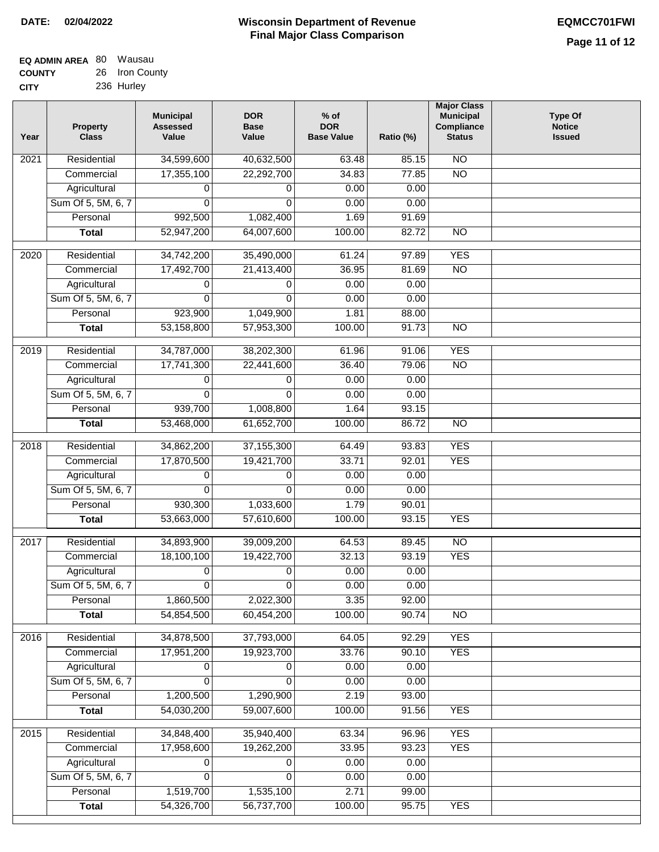| <b>EQ ADMIN AREA 80 Wausau</b> |                |
|--------------------------------|----------------|
| <b>COUNTY</b>                  | 26 Iron County |
| <b>CITY</b>                    | 236 Hurley     |

| Year | <b>Property</b><br><b>Class</b> | <b>Municipal</b><br><b>Assessed</b><br>Value | <b>DOR</b><br><b>Base</b><br>Value | $%$ of<br><b>DOR</b><br><b>Base Value</b> | Ratio (%) | <b>Major Class</b><br><b>Municipal</b><br>Compliance<br><b>Status</b> | <b>Type Of</b><br><b>Notice</b><br><b>Issued</b> |
|------|---------------------------------|----------------------------------------------|------------------------------------|-------------------------------------------|-----------|-----------------------------------------------------------------------|--------------------------------------------------|
| 2021 | Residential                     | 34,599,600                                   | 40,632,500                         | 63.48                                     | 85.15     | $\overline{NO}$                                                       |                                                  |
|      | Commercial                      | 17,355,100                                   | 22,292,700                         | 34.83                                     | 77.85     | $\overline{NO}$                                                       |                                                  |
|      | Agricultural                    | 0                                            | 0                                  | 0.00                                      | 0.00      |                                                                       |                                                  |
|      | Sum Of 5, 5M, 6, 7              | 0                                            | $\Omega$                           | 0.00                                      | 0.00      |                                                                       |                                                  |
|      | Personal                        | 992,500                                      | 1,082,400                          | 1.69                                      | 91.69     |                                                                       |                                                  |
|      | <b>Total</b>                    | 52,947,200                                   | 64,007,600                         | 100.00                                    | 82.72     | $\overline{NO}$                                                       |                                                  |
| 2020 | Residential                     | 34,742,200                                   | 35,490,000                         | 61.24                                     | 97.89     | <b>YES</b>                                                            |                                                  |
|      | Commercial                      | 17,492,700                                   | 21,413,400                         | 36.95                                     | 81.69     | $\overline{NO}$                                                       |                                                  |
|      | Agricultural                    | 0                                            | 0                                  | 0.00                                      | 0.00      |                                                                       |                                                  |
|      | Sum Of 5, 5M, 6, 7              | 0                                            | $\Omega$                           | 0.00                                      | 0.00      |                                                                       |                                                  |
|      | Personal                        | 923,900                                      | 1,049,900                          | 1.81                                      | 88.00     |                                                                       |                                                  |
|      | <b>Total</b>                    | 53,158,800                                   | 57,953,300                         | 100.00                                    | 91.73     | $\overline{NO}$                                                       |                                                  |
| 2019 | Residential                     | 34,787,000                                   | 38,202,300                         | 61.96                                     | 91.06     | <b>YES</b>                                                            |                                                  |
|      | Commercial                      | 17,741,300                                   | 22,441,600                         | 36.40                                     | 79.06     | $\overline{NO}$                                                       |                                                  |
|      | Agricultural                    | 0                                            | 0                                  | 0.00                                      | 0.00      |                                                                       |                                                  |
|      | Sum Of 5, 5M, 6, 7              | 0                                            | $\Omega$                           | 0.00                                      | 0.00      |                                                                       |                                                  |
|      | Personal                        | 939,700                                      | 1,008,800                          | 1.64                                      | 93.15     |                                                                       |                                                  |
|      | <b>Total</b>                    | 53,468,000                                   | 61,652,700                         | 100.00                                    | 86.72     | $\overline{NO}$                                                       |                                                  |
|      |                                 |                                              |                                    |                                           |           |                                                                       |                                                  |
| 2018 | Residential                     | 34,862,200                                   | 37, 155, 300                       | 64.49                                     | 93.83     | <b>YES</b>                                                            |                                                  |
|      | Commercial                      | 17,870,500                                   | 19,421,700                         | 33.71                                     | 92.01     | <b>YES</b>                                                            |                                                  |
|      | Agricultural                    | 0                                            | 0                                  | 0.00                                      | 0.00      |                                                                       |                                                  |
|      | Sum Of 5, 5M, 6, 7              | 0                                            | $\mathbf 0$                        | 0.00                                      | 0.00      |                                                                       |                                                  |
|      | Personal                        | 930,300                                      | 1,033,600                          | 1.79                                      | 90.01     |                                                                       |                                                  |
|      | <b>Total</b>                    | 53,663,000                                   | 57,610,600                         | 100.00                                    | 93.15     | <b>YES</b>                                                            |                                                  |
| 2017 | Residential                     | 34,893,900                                   | 39,009,200                         | 64.53                                     | 89.45     | $\overline{NO}$                                                       |                                                  |
|      | Commercial                      | 18,100,100                                   | 19,422,700                         | 32.13                                     | 93.19     | <b>YES</b>                                                            |                                                  |
|      | Agricultural                    | 0                                            | 0                                  | 0.00                                      | 0.00      |                                                                       |                                                  |
|      | Sum Of 5, 5M, 6, 7              | 0                                            | $\overline{0}$                     | 0.00                                      | 0.00      |                                                                       |                                                  |
|      | Personal                        | 1,860,500                                    | 2,022,300                          | 3.35                                      | 92.00     |                                                                       |                                                  |
|      | <b>Total</b>                    | 54,854,500                                   | 60,454,200                         | 100.00                                    | 90.74     | <b>NO</b>                                                             |                                                  |
| 2016 | Residential                     | 34,878,500                                   | 37,793,000                         | 64.05                                     | 92.29     | <b>YES</b>                                                            |                                                  |
|      | Commercial                      | 17,951,200                                   | 19,923,700                         | 33.76                                     | 90.10     | <b>YES</b>                                                            |                                                  |
|      | Agricultural                    | 0                                            | 0                                  | 0.00                                      | 0.00      |                                                                       |                                                  |
|      | Sum Of 5, 5M, 6, 7              | 0                                            | $\Omega$                           | 0.00                                      | 0.00      |                                                                       |                                                  |
|      | Personal                        | 1,200,500                                    | 1,290,900                          | 2.19                                      | 93.00     |                                                                       |                                                  |
|      | <b>Total</b>                    | 54,030,200                                   | 59,007,600                         | 100.00                                    | 91.56     | <b>YES</b>                                                            |                                                  |
| 2015 | Residential                     | 34,848,400                                   | 35,940,400                         | 63.34                                     | 96.96     | <b>YES</b>                                                            |                                                  |
|      | Commercial                      | 17,958,600                                   | 19,262,200                         | 33.95                                     | 93.23     | <b>YES</b>                                                            |                                                  |
|      | Agricultural                    | 0                                            | 0                                  | 0.00                                      | 0.00      |                                                                       |                                                  |
|      | Sum Of 5, 5M, 6, 7              | 0                                            | 0                                  | 0.00                                      | 0.00      |                                                                       |                                                  |
|      | Personal                        | 1,519,700                                    | 1,535,100                          | 2.71                                      | 99.00     |                                                                       |                                                  |
|      | <b>Total</b>                    | 54,326,700                                   | 56,737,700                         | 100.00                                    | 95.75     | <b>YES</b>                                                            |                                                  |
|      |                                 |                                              |                                    |                                           |           |                                                                       |                                                  |